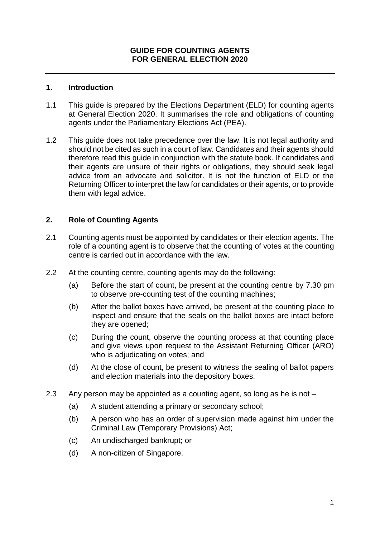#### **1. Introduction**

- 1.1 This guide is prepared by the Elections Department (ELD) for counting agents at General Election 2020. It summarises the role and obligations of counting agents under the Parliamentary Elections Act (PEA).
- 1.2 This guide does not take precedence over the law. It is not legal authority and should not be cited as such in a court of law. Candidates and their agents should therefore read this guide in conjunction with the statute book. If candidates and their agents are unsure of their rights or obligations, they should seek legal advice from an advocate and solicitor. It is not the function of ELD or the Returning Officer to interpret the law for candidates or their agents, or to provide them with legal advice.

### **2. Role of Counting Agents**

- 2.1 Counting agents must be appointed by candidates or their election agents. The role of a counting agent is to observe that the counting of votes at the counting centre is carried out in accordance with the law.
- 2.2 At the counting centre, counting agents may do the following:
	- (a) Before the start of count, be present at the counting centre by 7.30 pm to observe pre-counting test of the counting machines;
	- (b) After the ballot boxes have arrived, be present at the counting place to inspect and ensure that the seals on the ballot boxes are intact before they are opened;
	- (c) During the count, observe the counting process at that counting place and give views upon request to the Assistant Returning Officer (ARO) who is adjudicating on votes; and
	- (d) At the close of count, be present to witness the sealing of ballot papers and election materials into the depository boxes.
- 2.3 Any person may be appointed as a counting agent, so long as he is not
	- (a) A student attending a primary or secondary school;
	- (b) A person who has an order of supervision made against him under the Criminal Law (Temporary Provisions) Act;
	- (c) An undischarged bankrupt; or
	- (d) A non-citizen of Singapore.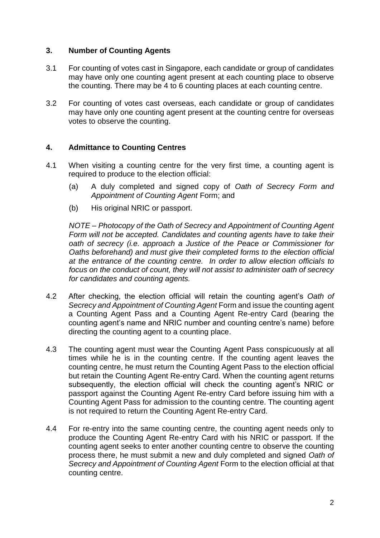# **3. Number of Counting Agents**

- 3.1 For counting of votes cast in Singapore, each candidate or group of candidates may have only one counting agent present at each counting place to observe the counting. There may be 4 to 6 counting places at each counting centre.
- 3.2 For counting of votes cast overseas, each candidate or group of candidates may have only one counting agent present at the counting centre for overseas votes to observe the counting.

## **4. Admittance to Counting Centres**

- 4.1 When visiting a counting centre for the very first time, a counting agent is required to produce to the election official:
	- (a) A duly completed and signed copy of *Oath of Secrecy Form and Appointment of Counting Agent* Form; and
	- (b) His original NRIC or passport.

*NOTE – Photocopy of the Oath of Secrecy and Appointment of Counting Agent Form will not be accepted. Candidates and counting agents have to take their oath of secrecy (i.e. approach a Justice of the Peace or Commissioner for Oaths beforehand) and must give their completed forms to the election official at the entrance of the counting centre. In order to allow election officials to focus on the conduct of count, they will not assist to administer oath of secrecy for candidates and counting agents.*

- 4.2 After checking, the election official will retain the counting agent's *Oath of Secrecy and Appointment of Counting Agent* Form and issue the counting agent a Counting Agent Pass and a Counting Agent Re-entry Card (bearing the counting agent's name and NRIC number and counting centre's name) before directing the counting agent to a counting place.
- 4.3 The counting agent must wear the Counting Agent Pass conspicuously at all times while he is in the counting centre. If the counting agent leaves the counting centre, he must return the Counting Agent Pass to the election official but retain the Counting Agent Re-entry Card. When the counting agent returns subsequently, the election official will check the counting agent's NRIC or passport against the Counting Agent Re-entry Card before issuing him with a Counting Agent Pass for admission to the counting centre. The counting agent is not required to return the Counting Agent Re-entry Card.
- 4.4 For re-entry into the same counting centre, the counting agent needs only to produce the Counting Agent Re-entry Card with his NRIC or passport. If the counting agent seeks to enter another counting centre to observe the counting process there, he must submit a new and duly completed and signed *Oath of Secrecy and Appointment of Counting Agent* Form to the election official at that counting centre.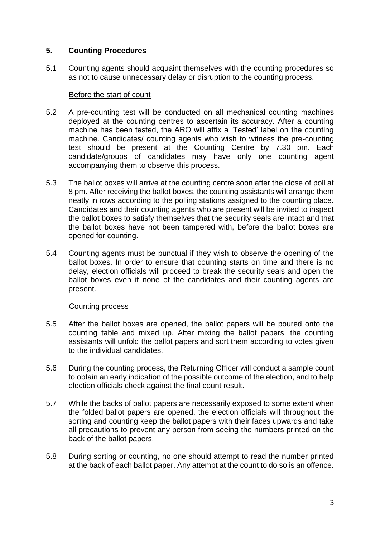### **5. Counting Procedures**

5.1 Counting agents should acquaint themselves with the counting procedures so as not to cause unnecessary delay or disruption to the counting process.

### Before the start of count

- 5.2 A pre-counting test will be conducted on all mechanical counting machines deployed at the counting centres to ascertain its accuracy. After a counting machine has been tested, the ARO will affix a 'Tested' label on the counting machine. Candidates/ counting agents who wish to witness the pre-counting test should be present at the Counting Centre by 7.30 pm. Each candidate/groups of candidates may have only one counting agent accompanying them to observe this process.
- 5.3 The ballot boxes will arrive at the counting centre soon after the close of poll at 8 pm. After receiving the ballot boxes, the counting assistants will arrange them neatly in rows according to the polling stations assigned to the counting place. Candidates and their counting agents who are present will be invited to inspect the ballot boxes to satisfy themselves that the security seals are intact and that the ballot boxes have not been tampered with, before the ballot boxes are opened for counting.
- 5.4 Counting agents must be punctual if they wish to observe the opening of the ballot boxes. In order to ensure that counting starts on time and there is no delay, election officials will proceed to break the security seals and open the ballot boxes even if none of the candidates and their counting agents are present.

### Counting process

- 5.5 After the ballot boxes are opened, the ballot papers will be poured onto the counting table and mixed up. After mixing the ballot papers, the counting assistants will unfold the ballot papers and sort them according to votes given to the individual candidates.
- 5.6 During the counting process, the Returning Officer will conduct a sample count to obtain an early indication of the possible outcome of the election, and to help election officials check against the final count result.
- 5.7 While the backs of ballot papers are necessarily exposed to some extent when the folded ballot papers are opened, the election officials will throughout the sorting and counting keep the ballot papers with their faces upwards and take all precautions to prevent any person from seeing the numbers printed on the back of the ballot papers.
- 5.8 During sorting or counting, no one should attempt to read the number printed at the back of each ballot paper. Any attempt at the count to do so is an offence.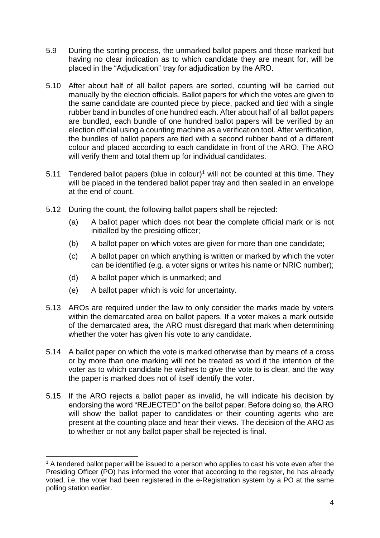- 5.9 During the sorting process, the unmarked ballot papers and those marked but having no clear indication as to which candidate they are meant for, will be placed in the "Adjudication" tray for adjudication by the ARO.
- 5.10 After about half of all ballot papers are sorted, counting will be carried out manually by the election officials. Ballot papers for which the votes are given to the same candidate are counted piece by piece, packed and tied with a single rubber band in bundles of one hundred each. After about half of all ballot papers are bundled, each bundle of one hundred ballot papers will be verified by an election official using a counting machine as a verification tool. After verification, the bundles of ballot papers are tied with a second rubber band of a different colour and placed according to each candidate in front of the ARO. The ARO will verify them and total them up for individual candidates.
- 5.11 Tendered ballot papers (blue in colour)<sup>1</sup> will not be counted at this time. They will be placed in the tendered ballot paper tray and then sealed in an envelope at the end of count.
- 5.12 During the count, the following ballot papers shall be rejected:
	- (a) A ballot paper which does not bear the complete official mark or is not initialled by the presiding officer;
	- (b) A ballot paper on which votes are given for more than one candidate;
	- (c) A ballot paper on which anything is written or marked by which the voter can be identified (e.g. a voter signs or writes his name or NRIC number);
	- (d) A ballot paper which is unmarked; and
	- (e) A ballot paper which is void for uncertainty.
- 5.13 AROs are required under the law to only consider the marks made by voters within the demarcated area on ballot papers. If a voter makes a mark outside of the demarcated area, the ARO must disregard that mark when determining whether the voter has given his vote to any candidate.
- 5.14 A ballot paper on which the vote is marked otherwise than by means of a cross or by more than one marking will not be treated as void if the intention of the voter as to which candidate he wishes to give the vote to is clear, and the way the paper is marked does not of itself identify the voter.
- 5.15 If the ARO rejects a ballot paper as invalid, he will indicate his decision by endorsing the word "REJECTED" on the ballot paper. Before doing so, the ARO will show the ballot paper to candidates or their counting agents who are present at the counting place and hear their views. The decision of the ARO as to whether or not any ballot paper shall be rejected is final.

**<sup>.</sup>**  $1$  A tendered ballot paper will be issued to a person who applies to cast his vote even after the Presiding Officer (PO) has informed the voter that according to the register, he has already voted, i.e. the voter had been registered in the e-Registration system by a PO at the same polling station earlier.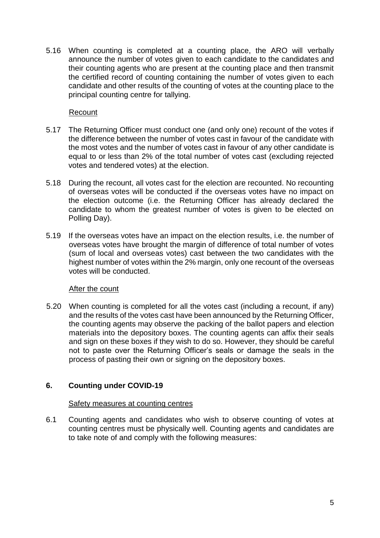5.16 When counting is completed at a counting place, the ARO will verbally announce the number of votes given to each candidate to the candidates and their counting agents who are present at the counting place and then transmit the certified record of counting containing the number of votes given to each candidate and other results of the counting of votes at the counting place to the principal counting centre for tallying.

## Recount

- 5.17 The Returning Officer must conduct one (and only one) recount of the votes if the difference between the number of votes cast in favour of the candidate with the most votes and the number of votes cast in favour of any other candidate is equal to or less than 2% of the total number of votes cast (excluding rejected votes and tendered votes) at the election.
- 5.18 During the recount, all votes cast for the election are recounted. No recounting of overseas votes will be conducted if the overseas votes have no impact on the election outcome (i.e. the Returning Officer has already declared the candidate to whom the greatest number of votes is given to be elected on Polling Day).
- 5.19 If the overseas votes have an impact on the election results, i.e. the number of overseas votes have brought the margin of difference of total number of votes (sum of local and overseas votes) cast between the two candidates with the highest number of votes within the 2% margin, only one recount of the overseas votes will be conducted.

### After the count

5.20 When counting is completed for all the votes cast (including a recount, if any) and the results of the votes cast have been announced by the Returning Officer, the counting agents may observe the packing of the ballot papers and election materials into the depository boxes. The counting agents can affix their seals and sign on these boxes if they wish to do so. However, they should be careful not to paste over the Returning Officer's seals or damage the seals in the process of pasting their own or signing on the depository boxes.

# **6. Counting under COVID-19**

### Safety measures at counting centres

6.1 Counting agents and candidates who wish to observe counting of votes at counting centres must be physically well. Counting agents and candidates are to take note of and comply with the following measures: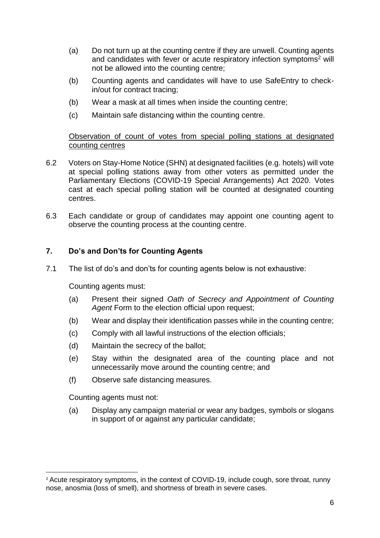- (a) Do not turn up at the counting centre if they are unwell. Counting agents and candidates with fever or acute respiratory infection symptoms<sup>2</sup> will not be allowed into the counting centre;
- (b) Counting agents and candidates will have to use SafeEntry to checkin/out for contract tracing;
- (b) Wear a mask at all times when inside the counting centre;
- (c) Maintain safe distancing within the counting centre.

## Observation of count of votes from special polling stations at designated counting centres

- 6.2 Voters on Stay-Home Notice (SHN) at designated facilities (e.g. hotels) will vote at special polling stations away from other voters as permitted under the Parliamentary Elections (COVID-19 Special Arrangements) Act 2020. Votes cast at each special polling station will be counted at designated counting centres.
- 6.3 Each candidate or group of candidates may appoint one counting agent to observe the counting process at the counting centre.

## **7. Do's and Don'ts for Counting Agents**

7.1 The list of do's and don'ts for counting agents below is not exhaustive:

Counting agents must:

- (a) Present their signed *Oath of Secrecy and Appointment of Counting Agent* Form to the election official upon request;
- (b) Wear and display their identification passes while in the counting centre;
- (c) Comply with all lawful instructions of the election officials;
- (d) Maintain the secrecy of the ballot;
- (e) Stay within the designated area of the counting place and not unnecessarily move around the counting centre; and
- (f) Observe safe distancing measures.

Counting agents must not:

1

(a) Display any campaign material or wear any badges, symbols or slogans in support of or against any particular candidate;

<sup>&</sup>lt;sup>2</sup> Acute respiratory symptoms, in the context of COVID-19, include cough, sore throat, runny nose, anosmia (loss of smell), and shortness of breath in severe cases.